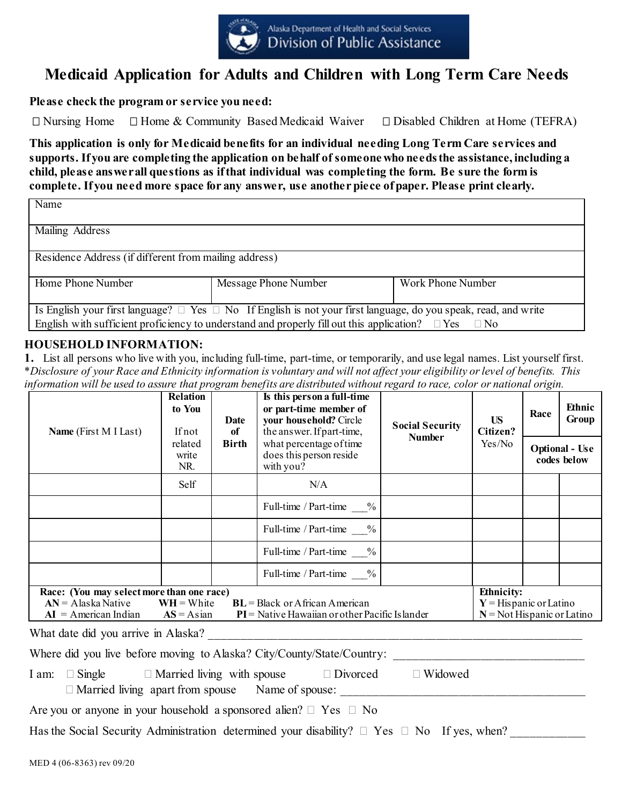

# **Medicaid Application for Adults and Children with Long Term Care Needs**

**Please check the program or service you need:** 

 $\Box$  Nursing Home  $\Box$  Home & Community Based Medicaid Waiver  $\Box$  Disabled Children at Home (TEFRA)

**This application is only for Medicaid benefits for an individual needing Long Term Care services and supports. If you are completing the application on behalf of someone who needsthe assistance, including a child, please answerall questions as if that individual was completing the form. Be sure the form is complete. If you need more space for any answer, use another piece of paper. Please print clearly.**

| Name                                                  |                                                                                                                           |                   |  |  |  |  |
|-------------------------------------------------------|---------------------------------------------------------------------------------------------------------------------------|-------------------|--|--|--|--|
| Mailing Address                                       |                                                                                                                           |                   |  |  |  |  |
| Residence Address (if different from mailing address) |                                                                                                                           |                   |  |  |  |  |
| Home Phone Number                                     | Message Phone Number                                                                                                      | Work Phone Number |  |  |  |  |
|                                                       | Is English your first language? $\Box$ Yes $\Box$ No If English is not your first language, do you speak, read, and write |                   |  |  |  |  |
|                                                       | English with sufficient proficiency to understand and properly fill out this application? $\Box$ Yes $\Box$ No            |                   |  |  |  |  |

#### **HOUSEHOLD INFORMATION:**

**1.** List all persons who live with you, including full-time, part-time, or temporarily, and use legal names. List yourself first. \**Disclosure of your Race and Ethnicity information is voluntary and will not affect your eligibility or level of benefits. This information will be used to assure that program benefits are distributed without regard to race, color or national origin.*

| Name (First M I Last)                                                                                                                                                                                                                                                                                  | Relation<br>to You<br>Date<br>If not<br>of |              | Is this person a full-time<br>or part-time member of<br>your household? Circle<br>the answer. If part-time, | <b>US</b><br><b>Social Security</b><br>Citizen? |        | Race | Ethnic<br>Group                      |  |
|--------------------------------------------------------------------------------------------------------------------------------------------------------------------------------------------------------------------------------------------------------------------------------------------------------|--------------------------------------------|--------------|-------------------------------------------------------------------------------------------------------------|-------------------------------------------------|--------|------|--------------------------------------|--|
|                                                                                                                                                                                                                                                                                                        | related<br>write<br>NR.                    | <b>Birth</b> | what percentage of time<br>does this person reside<br>with you?                                             | <b>Number</b>                                   | Yes/No |      | <b>Optional - Use</b><br>codes below |  |
|                                                                                                                                                                                                                                                                                                        | Self                                       |              | N/A                                                                                                         |                                                 |        |      |                                      |  |
|                                                                                                                                                                                                                                                                                                        |                                            |              | Full-time / Part-time %                                                                                     |                                                 |        |      |                                      |  |
|                                                                                                                                                                                                                                                                                                        |                                            |              | Full-time / Part-time %                                                                                     |                                                 |        |      |                                      |  |
|                                                                                                                                                                                                                                                                                                        |                                            |              | Full-time / Part-time<br>$\%$                                                                               |                                                 |        |      |                                      |  |
|                                                                                                                                                                                                                                                                                                        |                                            |              | Full-time / Part-time $\%$                                                                                  |                                                 |        |      |                                      |  |
| <b>Ethnicity:</b><br>Race: (You may select more than one race)<br>$BL = Black$ or African American<br>$AN = A$ laska Native<br>$WH = White$<br>$Y = H$ ispanic or Latino<br>$PI$ = Native Hawaiian or other Pacific Islander<br>$N = Not Hispanic or Latino$<br>$AI = American Indian$<br>$AS = Asian$ |                                            |              |                                                                                                             |                                                 |        |      |                                      |  |
| What date did you arrive in Alaska?                                                                                                                                                                                                                                                                    |                                            |              |                                                                                                             |                                                 |        |      |                                      |  |

Where did you live before moving to Alaska? City/County/State/Country:

I am:  $\Box$  Single  $\Box$  Married living with spouse  $\Box$  Divorced  $\Box$  Widowed Married living apart from spouse Name of spouse: \_\_\_\_\_\_\_\_\_\_\_\_\_\_\_\_\_\_\_\_\_\_\_\_\_\_\_\_\_\_\_\_\_\_\_\_\_\_\_\_

Are you or anyone in your household a sponsored alien?  $\Box$  Yes  $\Box$  No

Has the Social Security Administration determined your disability?  $\Box$  Yes  $\Box$  No If yes, when?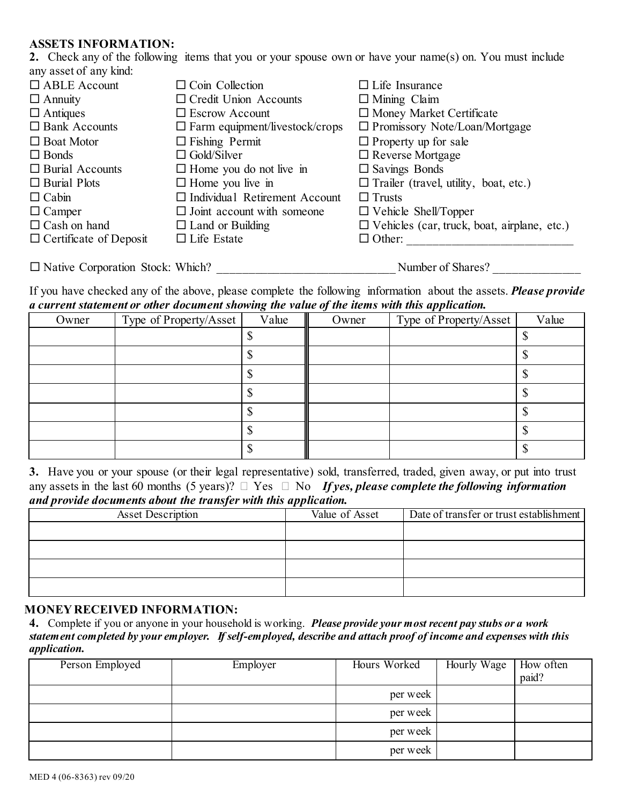#### **ASSETS INFORMATION:**

**2.** Check any of the following items that you or your spouse own or have your name(s) on. You must include any asset of any kind:

| $\Box$ ABLE Account                     | $\Box$ Coin Collection                   |                                                    |
|-----------------------------------------|------------------------------------------|----------------------------------------------------|
|                                         |                                          | $\Box$ Life Insurance                              |
| $\Box$ Annuity                          | $\Box$ Credit Union Accounts             | $\Box$ Mining Claim                                |
| $\Box$ Antiques                         | $\Box$ Escrow Account                    | $\Box$ Money Market Certificate                    |
| $\Box$ Bank Accounts                    | $\square$ Farm equipment/livestock/crops | $\Box$ Promissory Note/Loan/Mortgage               |
| $\Box$ Boat Motor                       | $\Box$ Fishing Permit                    | $\Box$ Property up for sale                        |
| $\Box$ Bonds                            | $\Box$ Gold/Silver                       | $\Box$ Reverse Mortgage                            |
| $\Box$ Burial Accounts                  | $\Box$ Home you do not live in           | $\Box$ Savings Bonds                               |
| $\Box$ Burial Plots                     | $\Box$ Home you live in                  | $\Box$ Trailer (travel, utility, boat, etc.)       |
| $\Box$ Cabin                            | $\Box$ Individual Retirement Account     | $\Box$ Trusts                                      |
| $\Box$ Camper                           | $\Box$ Joint account with someone        | $\Box$ Vehicle Shell/Topper                        |
| $\Box$ Cash on hand                     | $\Box$ Land or Building                  | $\Box$ Vehicles (car, truck, boat, airplane, etc.) |
| $\Box$ Certificate of Deposit           | $\Box$ Life Estate                       | $\Box$ Other:                                      |
|                                         |                                          |                                                    |
| $\Box$ Native Corporation Stock: Which? |                                          | Number of Shares?                                  |

If you have checked any of the above, please complete the following information about the assets. *Please provide a current statement or other document showing the value of the items with this application.*

| Owner | Type of Property/Asset | $\circ$<br>Value | $\cdot$<br>Owner | . .<br>Type of Property/Asset | Value |
|-------|------------------------|------------------|------------------|-------------------------------|-------|
|       |                        |                  |                  |                               |       |
|       |                        |                  |                  |                               |       |
|       |                        |                  |                  |                               |       |
|       |                        |                  |                  |                               |       |
|       |                        |                  |                  |                               |       |
|       |                        |                  |                  |                               |       |
|       |                        |                  |                  |                               |       |

**3.** Have you or your spouse (or their legal representative) sold, transferred, traded, given away, or put into trust any assets in the last 60 months (5 years)?  $\Box$  Yes  $\Box$  No *If yes, please complete the following information and provide documents about the transfer with this application.*

|                          | . .            |                                         |
|--------------------------|----------------|-----------------------------------------|
| <b>Asset Description</b> | Value of Asset | Date of transfer or trust establishment |
|                          |                |                                         |
|                          |                |                                         |
|                          |                |                                         |
|                          |                |                                         |
|                          |                |                                         |

#### **MONEY RECEIVED INFORMATION:**

**4.** Complete if you or anyone in your household is working. *Please provide your most recent pay stubs or a work statement completed by your employer. If self-employed, describe and attach proof of income and expenses with this application.*

| Person Employed | Employer | Hours Worked | Hourly Wage $\begin{array}{ c c } \hline \text{How often} \\ \text{paid?} \hline \end{array}$ |  |
|-----------------|----------|--------------|-----------------------------------------------------------------------------------------------|--|
|                 |          | per week     |                                                                                               |  |
|                 |          | per week     |                                                                                               |  |
|                 |          | per week     |                                                                                               |  |
|                 |          | per week     |                                                                                               |  |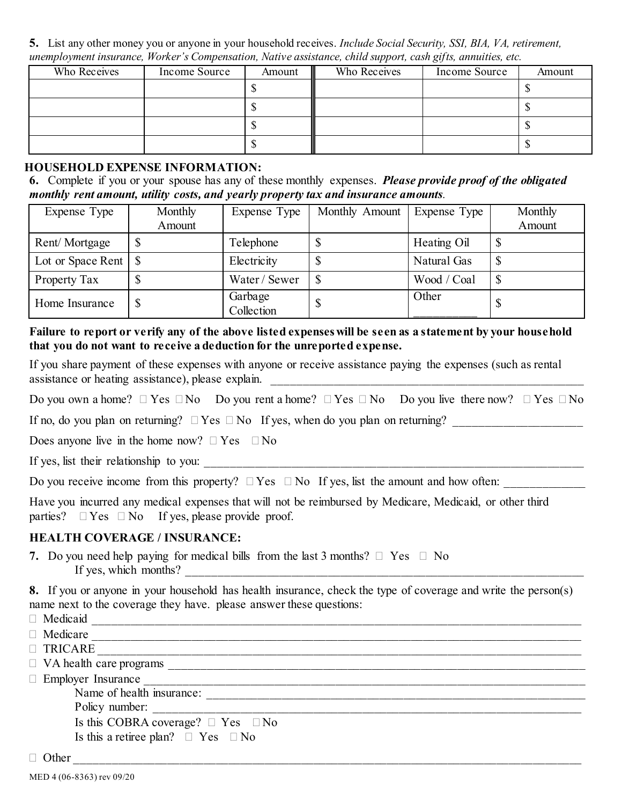**5.** List any other money you or anyone in your household receives. *Include Social Security, SSI, BIA, VA, retirement, unemployment insurance, Worker's Compensation, Native assistance, child support, cash gifts, annuities, etc.*

| Who Receives | Income Source | Amount | Who Receives | Income Source | Amount |
|--------------|---------------|--------|--------------|---------------|--------|
|              |               |        |              |               |        |
|              |               |        |              |               |        |
|              |               |        |              |               |        |
|              |               |        |              |               |        |

#### **HOUSEHOLD EXPENSE INFORMATION:**

**6.** Complete if you or your spouse has any of these monthly expenses. *Please provide proof of the obligated monthly rent amount, utility costs, and yearly property tax and insurance amounts.*

| Expense Type                | Monthly | Expense Type          | Monthly Amount | Expense Type | Monthly |
|-----------------------------|---------|-----------------------|----------------|--------------|---------|
|                             | Amount  |                       |                |              | Amount  |
| Rent/Mortgage               |         | Telephone             |                | Heating Oil  |         |
| Lot or Space Rent $\vert \$ |         | Electricity           |                | Natural Gas  |         |
| Property Tax                |         | Water / Sewer         |                | Wood / Coal  |         |
| Home Insurance              |         | Garbage<br>Collection |                | Other        |         |

#### **Failure to report or verify any of the above listed expenses will be seen as a statement by your household that you do not want to receive a deduction for the unreported expense.**

If you share payment of these expenses with anyone or receive assistance paying the expenses (such as rental assistance or heating assistance), please explain.

Do you own a home?  $\Box$  Yes  $\Box$  No Do you rent a home?  $\Box$  Yes  $\Box$  No Do you live there now?  $\Box$  Yes  $\Box$  No

If no, do you plan on returning?  $\Box$  Yes  $\Box$  No If yes, when do you plan on returning?

Does anyone live in the home now?  $\Box$  Yes  $\Box$  No

If yes, list their relationship to you:

|  |  |  | Do you receive income from this property? $\Box$ Yes $\Box$ No If yes, list the amount and how often: |  |
|--|--|--|-------------------------------------------------------------------------------------------------------|--|
|  |  |  |                                                                                                       |  |

Have you incurred any medical expenses that will not be reimbursed by Medicare, Medicaid, or other third parties?  $\Box$  Yes  $\Box$  No If yes, please provide proof.

## **HEALTH COVERAGE / INSURANCE:**

**7.** Do you need help paying for medical bills from the last 3 months?  $\Box$  Yes  $\Box$  No If yes, which months?  $\qquad \qquad$ 

**8.** If you or anyone in your household has health insurance, check the type of coverage and write the person(s) name next to the coverage they have. please answer these questions:<br> $\Box$  Medianid

| Medicaid                                     |
|----------------------------------------------|
| Medicare                                     |
| □ TRICARE                                    |
| $\Box$ VA health care programs               |
| $\Box$ Employer Insurance                    |
| Name of health insurance:                    |
| Policy number:                               |
| Is this COBRA coverage? $\Box$ Yes $\Box$ No |
| Is this a retiree plan? $\Box$ Yes $\Box$ No |
| )ther                                        |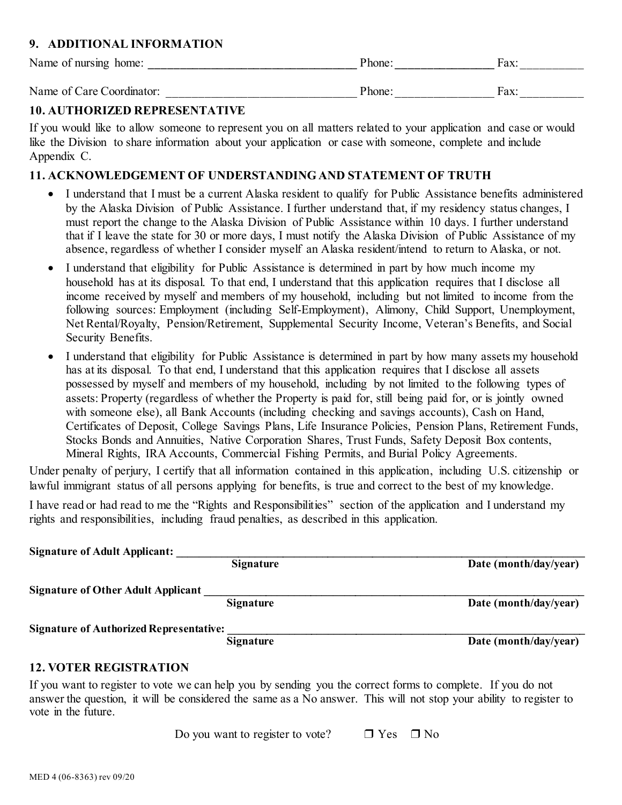## **9. ADDITIONAL INFORMATION**

| Name of nursing home:     | 'hone | ⊣nv∙<br>aλ |
|---------------------------|-------|------------|
| Name of Care Coordinator: | 'hone | Fax:       |

#### **10. AUTHORIZED REPRESENTATIVE**

If you would like to allow someone to represent you on all matters related to your application and case or would like the Division to share information about your application or case with someone, complete and include Appendix C.

#### **11. ACKNOWLEDGEMENT OF UNDERSTANDING AND STATEMENT OF TRUTH**

- I understand that I must be a current Alaska resident to qualify for Public Assistance benefits administered by the Alaska Division of Public Assistance. I further understand that, if my residency status changes, I must report the change to the Alaska Division of Public Assistance within 10 days. I further understand that if I leave the state for 30 or more days, I must notify the Alaska Division of Public Assistance of my absence, regardless of whether I consider myself an Alaska resident/intend to return to Alaska, or not.
- I understand that eligibility for Public Assistance is determined in part by how much income my household has at its disposal. To that end, I understand that this application requires that I disclose all income received by myself and members of my household, including but not limited to income from the following sources: Employment (including Self-Employment), Alimony, Child Support, Unemployment, Net Rental/Royalty, Pension/Retirement, Supplemental Security Income, Veteran's Benefits, and Social Security Benefits.
- I understand that eligibility for Public Assistance is determined in part by how many assets my household has at its disposal. To that end, I understand that this application requires that I disclose all assets possessed by myself and members of my household, including by not limited to the following types of assets: Property (regardless of whether the Property is paid for, still being paid for, or is jointly owned with someone else), all Bank Accounts (including checking and savings accounts), Cash on Hand, Certificates of Deposit, College Savings Plans, Life Insurance Policies, Pension Plans, Retirement Funds, Stocks Bonds and Annuities, Native Corporation Shares, Trust Funds, Safety Deposit Box contents, Mineral Rights, IRA Accounts, Commercial Fishing Permits, and Burial Policy Agreements.

Under penalty of perjury, I certify that all information contained in this application, including U.S. citizenship or lawful immigrant status of all persons applying for benefits, is true and correct to the best of my knowledge.

I have read or had read to me the "Rights and Responsibilities" section of the application and I understand my rights and responsibilities, including fraud penalties, as described in this application.

| <b>Signature of Adult Applicant:</b>           |                  |                       |
|------------------------------------------------|------------------|-----------------------|
|                                                | <b>Signature</b> | Date (month/day/year) |
| <b>Signature of Other Adult Applicant</b>      |                  |                       |
|                                                | Signature        | Date (month/day/year) |
| <b>Signature of Authorized Representative:</b> |                  |                       |
|                                                | <b>Signature</b> | Date (month/day/year) |
|                                                |                  |                       |

## **12. VOTER REGISTRATION**

If you want to register to vote we can help you by sending you the correct forms to complete. If you do not answer the question, it will be considered the same as a No answer. This will not stop your ability to register to vote in the future.

Do you want to register to vote?  $\Box$  Yes  $\Box$  No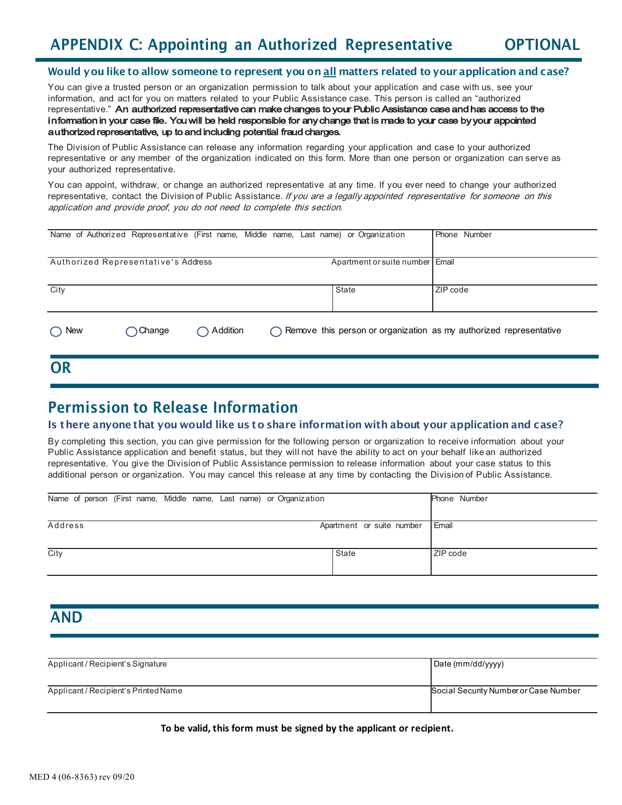# APPENDIX C: Appointing an Authorized Representative OPTIONAL

#### Would you like to allow someone to represent you on all matters related to your application and case?

You can give a trusted person or an organization permission to talk about your application and case with us, see your information, and act for you on matters related to your Public Assistance case. This person is called an "authorized representative." An authorized representative can make changes to your Public Assistance case and has access to the information in your case file. You will be held responsible for any change that is made to your case by your appointed authorized representative, up to and including potential fraud charges.

The Division of Public Assistance can release any information regarding your application and case to your authorized representative or any member of the organization indicated on this form. More than one person or organization can serve as your authorized representative.

You can appoint, withdraw, or change an authorized representative at any time. If you ever need to change your authorized representative, contact the Division of Public Assistance. If you are a legally appointed representative for someone on this application and provide proof, you do not need to complete this section.

| Name of Authorized Representative (First name, Middle name, Last name) or Organization |                  |                    |                                                                              |       |                                 | Phone Number |
|----------------------------------------------------------------------------------------|------------------|--------------------|------------------------------------------------------------------------------|-------|---------------------------------|--------------|
| Authorized Representative's Address                                                    |                  |                    |                                                                              |       | Apartment or suite number Email |              |
| City                                                                                   |                  |                    |                                                                              | State |                                 | ZIP code     |
| New                                                                                    | $\bigcap$ Change | $\bigcap$ Addition | $\bigcap$ Remove this person or organization as my authorized representative |       |                                 |              |

## Permission to Release Information

#### Is there anyone that you would like us to share information with about your application and case?

By completing this section, you can give permission for the following person or organization to receive information about your Public Assistance application and benefit status, but they will not have the ability to act on your behalf like an authorized representative. You give the Division of Public Assistance permission to release information about your case status to this additional person or organization. You may cancel this release at any time by contacting the Division of Public Assistance.

| Name of person (First name, Middle name, Last name) or Organization |                           | Phone Number |
|---------------------------------------------------------------------|---------------------------|--------------|
|                                                                     |                           |              |
| Address                                                             | Apartment or suite number | Email        |
|                                                                     |                           |              |
| City                                                                | <b>State</b>              | ZIP code     |
|                                                                     |                           |              |

## AND

OR

| Applicant / Recipient's Signature    | Date (mm/dd/yyyy)                     |
|--------------------------------------|---------------------------------------|
| Applicant / Recipient's Printed Name | Social Security Number or Case Number |

**To be valid, this form must be signed by the applicant or recipient.**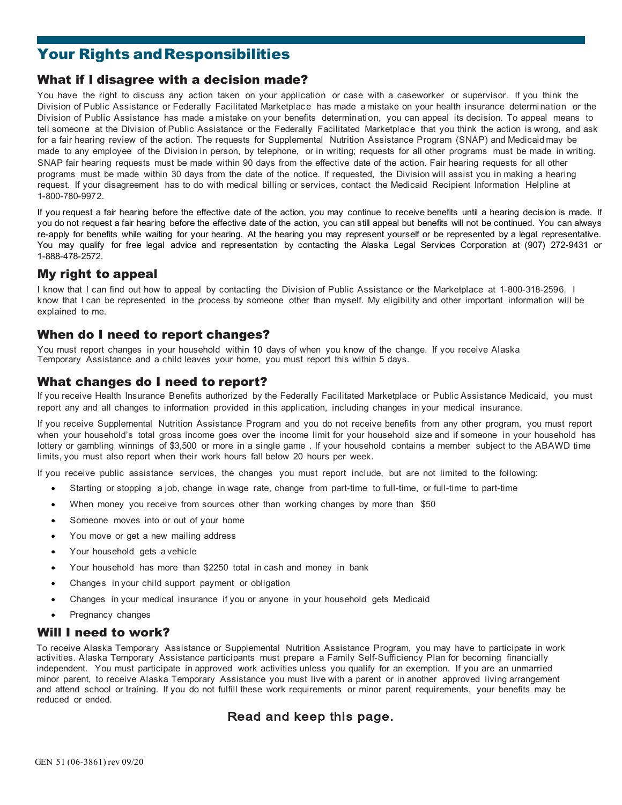# Your Rights and Responsibilities

#### What if I disagree with a decision made?

You have the right to discuss any action taken on your application or case with a caseworker or supervisor. If you think the Division of Public Assistance or Federally Facilitated Marketplace has made a mistake on your health insurance determi nation or the Division of Public Assistance has made a mistake on your benefits determinati on, you can appeal its decision. To appeal means to tell someone at the Division of Public Assistance or the Federally Facilitated Marketplace that you think the action is wrong, and ask for a fair hearing review of the action. The requests for Supplemental Nutrition Assistance Program (SNAP) and Medicaid may be made to any employee of the Division in person, by telephone, or in writing; requests for all other programs must be made in writing. SNAP fair hearing requests must be made within 90 days from the effective date of the action. Fair hearing requests for all other programs must be made within 30 days from the date of the notice. If requested, the Division will assist you in making a hearing request. If your disagreement has to do with medical billing or services, contact the Medicaid Recipient Information Helpline at 1-800-780-9972.

If you request a fair hearing before the effective date of the action, you may continue to receive benefits until a hearing decision is made. If you do not request a fair hearing before the effective date of the action, you can still appeal but benefits will not be continued. You can always re-apply for benefits while waiting for your hearing. At the hearing you may represent yourself or be represented by a legal representative. You may qualify for free legal advice and representation by contacting the Alaska Legal Services Corporation at (907) 272-9431 or 1-888-478-2572.

## My right to appeal

I know that I can find out how to appeal by contacting the Division of Public Assistance or the Marketplace at 1-800-318-2596. I know that I can be represented in the process by someone other than myself. My eligibility and other important information will be explained to me.

## When do I need to report changes?

You must report changes in your household within 10 days of when you know of the change. If you receive Alaska Temporary Assistance and a child leaves your home, you must report this within 5 days.

#### What changes do I need to report?

If you receive Health Insurance Benefits authorized by the Federally Facilitated Marketplace or Public Assistance Medicaid, you must report any and all changes to information provided in this application, including changes in your medical insurance.

If you receive Supplemental Nutrition Assistance Program and you do not receive benefits from any other program, you must report when your household's total gross income goes over the income limit for your household size and if someone in your household has lottery or gambling winnings of \$3,500 or more in a single game . If your household contains a member subject to the ABAWD time limits, you must also report when their work hours fall below 20 hours per week.

If you receive public assistance services, the changes you must report include, but are not limited to the following:

- Starting or stopping a job, change in wage rate, change from part-time to full-time, or full-time to part-time
- When money you receive from sources other than working changes by more than \$50
- Someone moves into or out of your home
- You move or get a new mailing address
- Your household gets a vehicle
- Your household has more than \$2250 total in cash and money in bank
- Changes in your child support payment or obligation
- Changes in your medical insurance if you or anyone in your household gets Medicaid
- Pregnancy changes

#### Will I need to work?

To receive Alaska Temporary Assistance or Supplemental Nutrition Assistance Program, you may have to participate in work activities. Alaska Temporary Assistance participants must prepare a Family Self-Sufficiency Plan for becoming financially independent. You must participate in approved work activities unless you qualify for an exemption. If you are an unmarried minor parent, to receive Alaska Temporary Assistance you must live with a parent or in another approved living arrangement and attend school or training. If you do not fulfill these work requirements or minor parent requirements, your benefits may be reduced or ended.

#### Read and keep this page.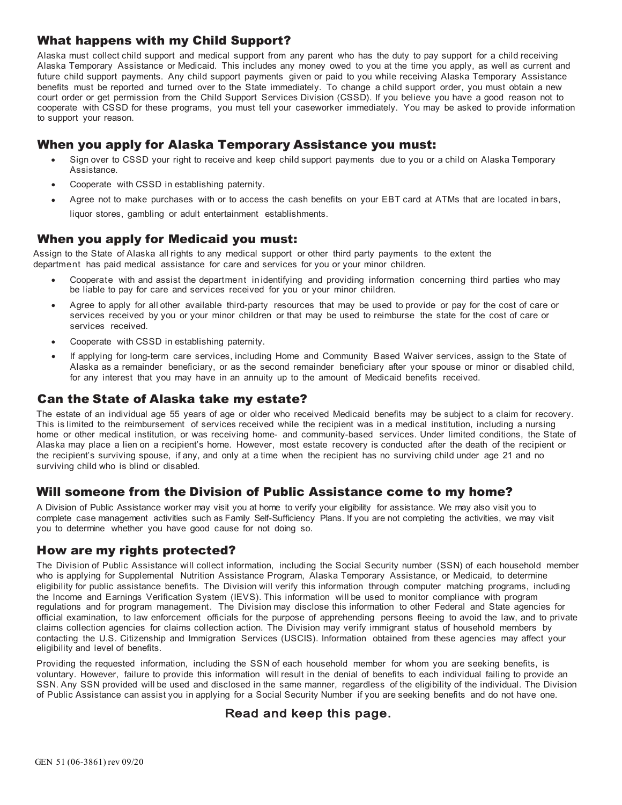#### What happens with my Child Support?

Alaska must collect child support and medical support from any parent who has the duty to pay support for a child receiving Alaska Temporary Assistance or Medicaid. This includes any money owed to you at the time you apply, as well as current and future child support payments. Any child support payments given or paid to you while receiving Alaska Temporary Assistance benefits must be reported and turned over to the State immediately. To change a child support order, you must obtain a new court order or get permission from the Child Support Services Division (CSSD). If you believe you have a good reason not to cooperate with CSSD for these programs, you must tell your caseworker immediately. You may be asked to provide information to support your reason.

## When you apply for Alaska Temporary Assistance you must:

- Sign over to CSSD your right to receive and keep child support payments due to you or a child on Alaska Temporary Assistance.
- Cooperate with CSSD in establishing paternity.
- Agree not to make purchases with or to access the cash benefits on your EBT card at ATMs that are located in bars, liquor stores, gambling or adult entertainment establishments.

#### When you apply for Medicaid you must:

Assign to the State of Alaska all rights to any medical support or other third party payments to the extent the department has paid medical assistance for care and services for you or your minor children.

- Cooperate with and assist the department in identifying and providing information concerning third parties who may be liable to pay for care and services received for you or your minor children.
- Agree to apply for all other available third-party resources that may be used to provide or pay for the cost of care or services received by you or your minor children or that may be used to reimburse the state for the cost of care or services received.
- Cooperate with CSSD in establishing paternity.
- If applying for long-term care services, including Home and Community Based Waiver services, assign to the State of Alaska as a remainder beneficiary, or as the second remainder beneficiary after your spouse or minor or disabled child, for any interest that you may have in an annuity up to the amount of Medicaid benefits received.

#### Can the State of Alaska take my estate?

The estate of an individual age 55 years of age or older who received Medicaid benefits may be subject to a claim for recovery. This is limited to the reimbursement of services received while the recipient was in a medical institution, including a nursing home or other medical institution, or was receiving home- and community-based services. Under limited conditions, the State of Alaska may place a lien on a recipient's home. However, most estate recovery is conducted after the death of the recipient or the recipient's surviving spouse, if any, and only at a time when the recipient has no surviving child under age 21 and no surviving child who is blind or disabled.

#### Will someone from the Division of Public Assistance come to my home?

A Division of Public Assistance worker may visit you at home to verify your eligibility for assistance. We may also visit you to complete case management activities such as Family Self-Sufficiency Plans. If you are not completing the activities, we may visit you to determine whether you have good cause for not doing so.

#### How are my rights protected?

The Division of Public Assistance will collect information, including the Social Security number (SSN) of each household member who is applying for Supplemental Nutrition Assistance Program, Alaska Temporary Assistance, or Medicaid, to determine eligibility for public assistance benefits. The Division will verify this information through computer matching programs, including the Income and Earnings Verification System (IEVS). This information will be used to monitor compliance with program regulations and for program management. The Division may disclose this information to other Federal and State agencies for official examination, to law enforcement officials for the purpose of apprehending persons fleeing to avoid the law, and to private claims collection agencies for claims collection action. The Division may verify immigrant status of household members by contacting the U.S. Citizenship and Immigration Services (USCIS). Information obtained from these agencies may affect your eligibility and level of benefits.

Providing the requested information, including the SSN of each household member for whom you are seeking benefits, is voluntary. However, failure to provide this information will result in the denial of benefits to each individual failing to provide an SSN. Any SSN provided will be used and disclosed in the same manner, regardless of the eligibility of the individual. The Division of Public Assistance can assist you in applying for a Social Security Number if you are seeking benefits and do not have one.

## Read and keep this page.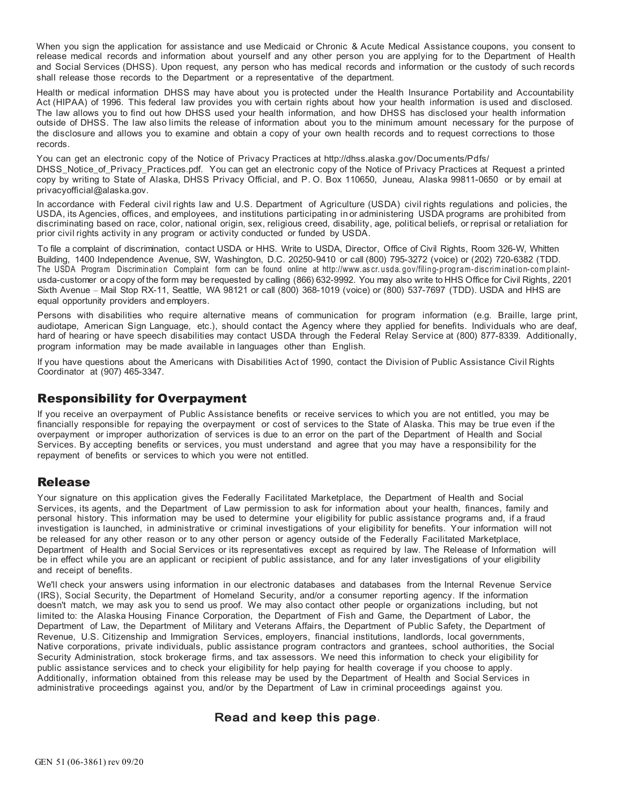When you sign the application for assistance and use Medicaid or Chronic & Acute Medical Assistance coupons, you consent to release medical records and information about yourself and any other person you are applying for to the Department of Health and Social Services (DHSS). Upon request, any person who has medical records and information or the custody of such records shall release those records to the Department or a representative of the department.

Health or medical information DHSS may have about you is protected under the Health Insurance Portability and Accountability Act (HIPAA) of 1996. This federal law provides you with certain rights about how your health information is used and disclosed. The law allows you to find out how DHSS used your health information, and how DHSS has disclosed your health information outside of DHSS. The law also limits the release of information about you to the minimum amount necessary for the purpose of the disclosure and allows you to examine and obtain a copy of your own health records and to request corrections to those records.

You can get an electronic copy of the Notice of [Privacy Practices at http://dhss.alaska.gov/Documents/Pdfs/](http://dhss.alaska.gov/Documents/Pdfs/DHSS_Notice_of_Privacy_Practices.pdf)  [DHSS\\_Notice\\_of\\_Privacy\\_Practices.pdf.](http://dhss.alaska.gov/Documents/Pdfs/DHSS_Notice_of_Privacy_Practices.pdf) You can get an electronic copy of the Notice of Privacy Practices at Request a printed [copy by writing to State of Alaska, DHSS Privacy Official, and P. O. Box 110650, Juneau, Alaska 99811-0650 or by email at](mailto:privacyofficial@alaska.gov)  [privacyofficial@alaska.gov.](mailto:privacyofficial@alaska.gov)

In accordance with Federal civil rights law and U.S. Department of Agriculture (USDA) civil rights regulations and policies, the USDA, its Agencies, offices, and employees, and institutions participating in or administering USDA programs are prohibited from discriminating based on race, color, national origin, sex, religious creed, disability, age, political beliefs, or reprisal or retaliation for prior civil rights activity in any program or activity conducted or funded by USDA.

To file a complaint of discrimination, contact USDA or HHS. Write to USDA, Director, Office of Civil Rights, Room 326-W, Whitten Building, 1400 Independence Avenue, SW, Washington, D.C. 20250-9410 or call (800) 795-3272 (voice) or (202) 720-6382 (TDD. The USDA Program Discrimination Complaint form can be found online at [http://www.as cr. usda. gov/filing-program-disc rim inat ion-com plaint](http://www.ascr.usda.gov/filing-program-discrimination-complaint-)usda-customer or a copy of the form may be requested by calling (866) 632-9992. You may also write to HHS Office for Civil Rights, 2201 Sixth Avenue – Mail Stop RX-11, Seattle, WA 98121 or call (800) 368-1019 (voice) or (800) 537-7697 (TDD). USDA and HHS are equal opportunity providers and employers.

Persons with disabilities who require alternative means of communication for program information (e.g. Braille, large print, audiotape, American Sign Language, etc.), should contact the Agency where they applied for benefits. Individuals who are deaf, hard of hearing or have speech disabilities may contact USDA through the Federal Relay Service at (800) 877-8339. Additionally, program information may be made available in languages other than English.

If you have questions about the Americans with Disabilities Act of 1990, contact the Division of Public Assistance Civil Rights Coordinator at (907) 465-3347.

## Responsibility for Overpayment

If you receive an overpayment of Public Assistance benefits or receive services to which you are not entitled, you may be financially responsible for repaying the overpayment or cost of services to the State of Alaska. This may be true even if the overpayment or improper authorization of services is due to an error on the part of the Department of Health and Social Services. By accepting benefits or services, you must understand and agree that you may have a responsibility for the repayment of benefits or services to which you were not entitled.

#### Release

Your signature on this application gives the Federally Facilitated Marketplace, the Department of Health and Social Services, its agents, and the Department of Law permission to ask for information about your health, finances, family and personal history. This information may be used to determine your eligibility for public assistance programs and, if a fraud investigation is launched, in administrative or criminal investigations of your eligibility for benefits. Your information will not be released for any other reason or to any other person or agency outside of the Federally Facilitated Marketplace, Department of Health and Social Services or its representatives except as required by law. The Release of Information will be in effect while you are an applicant or recipient of public assistance, and for any later investigations of your eligibility and receipt of benefits.

We'll check your answers using information in our electronic databases and databases from the Internal Revenue Service (IRS), Social Security, the Department of Homeland Security, and/or a consumer reporting agency. If the information doesn't match, we may ask you to send us proof. We may also contact other people or organizations including, but not limited to: the Alaska Housing Finance Corporation, the Department of Fish and Game, the Department of Labor, the Department of Law, the Department of Military and Veterans Affairs, the Department of Public Safety, the Department of Revenue, U.S. Citizenship and Immigration Services, employers, financial institutions, landlords, local governments, Native corporations, private individuals, public assistance program contractors and grantees, school authorities, the Social Security Administration, stock brokerage firms, and tax assessors. We need this information to check your eligibility for public assistance services and to check your eligibility for help paying for health coverage if you choose to apply. Additionally, information obtained from this release may be used by the Department of Health and Social Services in administrative proceedings against you, and/or by the Department of Law in criminal proceedings against you.

## Read and keep this page.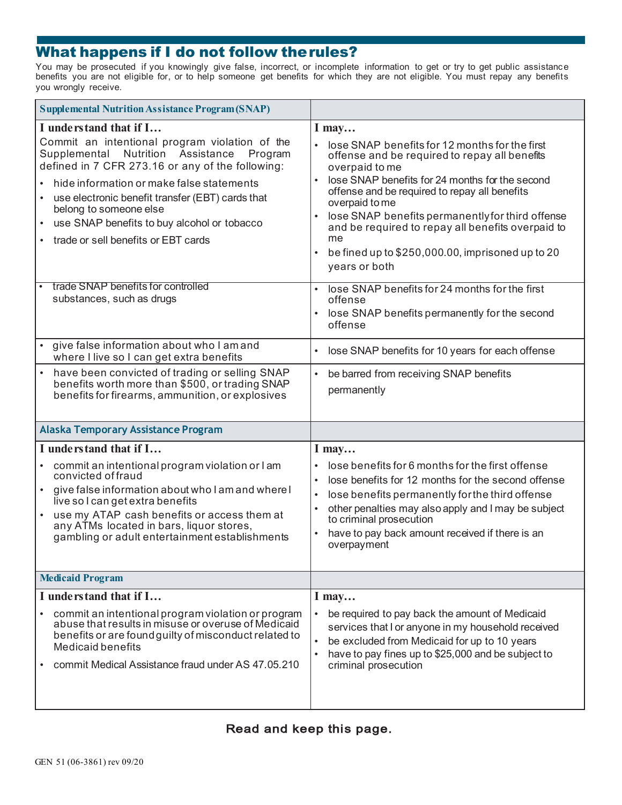# What happens if I do not follow the rules?

You may be prosecuted if you knowingly give false, incorrect, or incomplete information to get or try to get public assistance benefits you are not eligible for, or to help someone get benefits for which they are not eligible. You must repay any benefits you wrongly receive.

| <b>Supplemental Nutrition Assistance Program (SNAP)</b>                                                                                                                                                                                                                                                                                                                                                              |                                                                                                                                                                                                                                                                                                                                                                                                                                                                               |  |  |
|----------------------------------------------------------------------------------------------------------------------------------------------------------------------------------------------------------------------------------------------------------------------------------------------------------------------------------------------------------------------------------------------------------------------|-------------------------------------------------------------------------------------------------------------------------------------------------------------------------------------------------------------------------------------------------------------------------------------------------------------------------------------------------------------------------------------------------------------------------------------------------------------------------------|--|--|
| I understand that if I<br>Commit an intentional program violation of the<br>Supplemental Nutrition Assistance Program<br>defined in 7 CFR 273.16 or any of the following:<br>hide information or make false statements<br>use electronic benefit transfer (EBT) cards that<br>$\bullet$<br>belong to someone else<br>use SNAP benefits to buy alcohol or tobacco<br>$\bullet$<br>trade or sell benefits or EBT cards | $I$ may<br>lose SNAP benefits for 12 months for the first<br>offense and be required to repay all benefits<br>overpaid to me<br>lose SNAP benefits for 24 months for the second<br>$\bullet$<br>offense and be required to repay all benefits<br>overpaid to me<br>lose SNAP benefits permanently for third offense<br>$\bullet$<br>and be required to repay all benefits overpaid to<br>me<br>be fined up to \$250,000.00, imprisoned up to 20<br>$\bullet$<br>years or both |  |  |
| trade SNAP benefits for controlled<br>substances, such as drugs                                                                                                                                                                                                                                                                                                                                                      | lose SNAP benefits for 24 months for the first<br>$\bullet$<br>offense<br>lose SNAP benefits permanently for the second<br>$\bullet$<br>offense                                                                                                                                                                                                                                                                                                                               |  |  |
| give false information about who I am and<br>where I live so I can get extra benefits                                                                                                                                                                                                                                                                                                                                | lose SNAP benefits for 10 years for each offense<br>$\bullet$                                                                                                                                                                                                                                                                                                                                                                                                                 |  |  |
| have been convicted of trading or selling SNAP<br>benefits worth more than \$500, or trading SNAP<br>benefits for firearms, ammunition, or explosives                                                                                                                                                                                                                                                                | be barred from receiving SNAP benefits<br>$\bullet$<br>permanently                                                                                                                                                                                                                                                                                                                                                                                                            |  |  |
| <b>Alaska Temporary Assistance Program</b>                                                                                                                                                                                                                                                                                                                                                                           |                                                                                                                                                                                                                                                                                                                                                                                                                                                                               |  |  |
| I understand that if I<br>commit an intentional program violation or I am<br>convicted of fraud<br>give false information about who I am and where I<br>live so I can get extra benefits<br>use my ATAP cash benefits or access them at<br>any ATMs located in bars, liquor stores,<br>gambling or adult entertainment establishments                                                                                | I may<br>lose benefits for 6 months for the first offense<br>lose benefits for 12 months for the second offense<br>$\bullet$<br>lose benefits permanently for the third offense<br>$\bullet$<br>other penalties may also apply and I may be subject<br>$\bullet$<br>to criminal prosecution<br>have to pay back amount received if there is an<br>$\bullet$<br>overpayment                                                                                                    |  |  |
| <b>Medicaid Program</b>                                                                                                                                                                                                                                                                                                                                                                                              |                                                                                                                                                                                                                                                                                                                                                                                                                                                                               |  |  |
| I understand that if I<br>commit an intentional program violation or program<br>abuse that results in misuse or overuse of Medicaid<br>benefits or are found guilty of misconduct related to<br><b>Medicaid benefits</b><br>commit Medical Assistance fraud under AS 47.05.210                                                                                                                                       | $I$ may<br>be required to pay back the amount of Medicaid<br>services that I or anyone in my household received<br>be excluded from Medicaid for up to 10 years<br>$\bullet$<br>have to pay fines up to \$25,000 and be subject to<br>$\bullet$<br>criminal prosecution                                                                                                                                                                                                       |  |  |